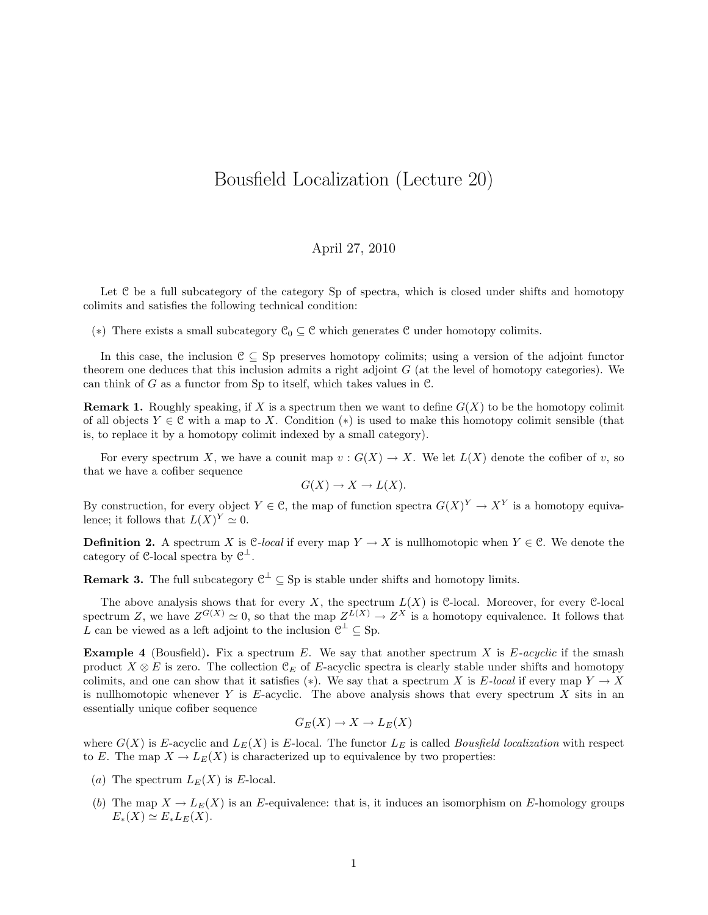## Bousfield Localization (Lecture 20)

## April 27, 2010

Let C be a full subcategory of the category Sp of spectra, which is closed under shifts and homotopy colimits and satisfies the following technical condition:

(\*) There exists a small subcategory  $\mathcal{C}_0 \subseteq \mathcal{C}$  which generates  $\mathcal{C}$  under homotopy colimits.

In this case, the inclusion  $C \subseteq Sp$  preserves homotopy colimits; using a version of the adjoint functor theorem one deduces that this inclusion admits a right adjoint  $G$  (at the level of homotopy categories). We can think of G as a functor from Sp to itself, which takes values in  $\mathcal C$ .

**Remark 1.** Roughly speaking, if X is a spectrum then we want to define  $G(X)$  to be the homotopy colimit of all objects  $Y \in \mathcal{C}$  with a map to X. Condition (\*) is used to make this homotopy colimit sensible (that is, to replace it by a homotopy colimit indexed by a small category).

For every spectrum X, we have a counit map  $v : G(X) \to X$ . We let  $L(X)$  denote the cofiber of v, so that we have a cofiber sequence

$$
G(X) \to X \to L(X).
$$

By construction, for every object  $Y \in \mathcal{C}$ , the map of function spectra  $G(X)^{Y} \to X^{Y}$  is a homotopy equivalence; it follows that  $L(X)^Y \simeq 0$ .

**Definition 2.** A spectrum X is C-local if every map  $Y \to X$  is nullhomotopic when  $Y \in \mathcal{C}$ . We denote the category of C-local spectra by  $\mathcal{C}^{\perp}$ .

**Remark 3.** The full subcategory  $\mathcal{C}^{\perp} \subseteq$  Sp is stable under shifts and homotopy limits.

The above analysis shows that for every X, the spectrum  $L(X)$  is C-local. Moreover, for every C-local spectrum Z, we have  $Z^{G(X)} \simeq 0$ , so that the map  $Z^{L(X)} \to Z^X$  is a homotopy equivalence. It follows that L can be viewed as a left adjoint to the inclusion  $\mathcal{C}^{\perp} \subseteq$  Sp.

**Example 4** (Bousfield). Fix a spectrum E. We say that another spectrum X is  $E\text{-}acyclic$  if the smash product  $X \otimes E$  is zero. The collection  $\mathfrak{C}_E$  of E-acyclic spectra is clearly stable under shifts and homotopy colimits, and one can show that it satisfies (\*). We say that a spectrum X is E-local if every map  $Y \to X$ is nullhomotopic whenever Y is  $E$ -acyclic. The above analysis shows that every spectrum X sits in an essentially unique cofiber sequence

$$
G_E(X) \to X \to L_E(X)
$$

where  $G(X)$  is E-acyclic and  $L_E(X)$  is E-local. The functor  $L_E$  is called *Bousfield localization* with respect to E. The map  $X \to L_E(X)$  is characterized up to equivalence by two properties:

- (a) The spectrum  $L_E(X)$  is E-local.
- (b) The map  $X \to L_E(X)$  is an E-equivalence: that is, it induces an isomorphism on E-homology groups  $E_*(X) \simeq E_*L_E(X).$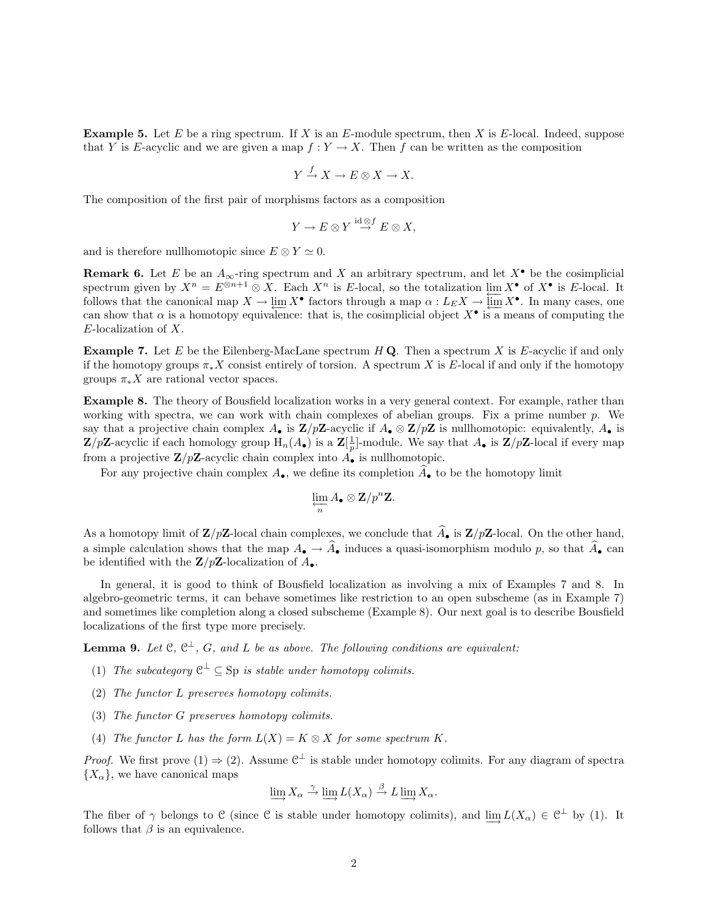**Example 5.** Let E be a ring spectrum. If X is an E-module spectrum, then X is E-local. Indeed, suppose that Y is E-acyclic and we are given a map  $f: Y \to X$ . Then f can be written as the composition

$$
Y \xrightarrow{f} X \to E \otimes X \to X.
$$

The composition of the first pair of morphisms factors as a composition

$$
Y \to E \otimes Y \stackrel{{\rm id} \, \otimes f}{\to} E \otimes X,
$$

and is therefore nullhomotopic since  $E \otimes Y \simeq 0$ .

**Remark 6.** Let E be an  $A_{\infty}$ -ring spectrum and X an arbitrary spectrum, and let  $X^{\bullet}$  be the cosimplicial spectrum given by  $X^n = E^{\otimes n+1} \otimes X$ . Each  $X^n$  is E-local, so the totalization  $\lim_{x \to \infty} X^{\bullet}$  of  $X^{\bullet}$  is E-local. It follows that the canonical map  $X \to \lim_{\longleftarrow} X^{\bullet}$  factors through a map  $\alpha : L_E X \to \lim_{\longleftarrow} X^{\bullet}$ . In many cases, one can show that  $\alpha$  is a homotopy equivalence: that is, the cosimplicial object  $X^{\bullet}$  is a means of computing the E-localization of X.

**Example 7.** Let E be the Eilenberg-MacLane spectrum  $H\mathbf{Q}$ . Then a spectrum X is E-acyclic if and only if the homotopy groups  $\pi_*X$  consist entirely of torsion. A spectrum X is E-local if and only if the homotopy groups  $\pi_* X$  are rational vector spaces.

Example 8. The theory of Bousfield localization works in a very general context. For example, rather than working with spectra, we can work with chain complexes of abelian groups. Fix a prime number  $p$ . We say that a projective chain complex  $A_{\bullet}$  is  $\mathbf{Z}/p\mathbf{Z}$ -acyclic if  $A_{\bullet} \otimes \mathbf{Z}/p\mathbf{Z}$  is nullhomotopic: equivalently,  $A_{\bullet}$  is  $\mathbf{Z}/p\mathbf{Z}$ -acyclic if each homology group  $H_n(A_{\bullet})$  is a  $\mathbf{Z}[\frac{1}{p}]$ -module. We say that  $A_{\bullet}$  is  $\mathbf{Z}/p\mathbf{Z}$ -local if every map from a projective  $\mathbb{Z}/p\mathbb{Z}$ -acyclic chain complex into  $A_{\bullet}$  is nullhomotopic.

For any projective chain complex  $A_{\bullet}$ , we define its completion  $\overline{A}_{\bullet}$  to be the homotopy limit

$$
\varprojlim_{n} A_{\bullet} \otimes \mathbf{Z}/p^{n}\mathbf{Z}.
$$

As a homotopy limit of  $\mathbf{Z}/p\mathbf{Z}$ -local chain complexes, we conclude that  $\widehat{A}_{\bullet}$  is  $\mathbf{Z}/p\mathbf{Z}$ -local. On the other hand, a simple calculation shows that the map  $A_{\bullet} \to \hat{A}_{\bullet}$  induces a quasi-isomorphism modulo p, so that  $\hat{A}_{\bullet}$  can be identified with the  $\mathbf{Z}/p\mathbf{Z}$ -localization of  $A_{\bullet}$ .

In general, it is good to think of Bousfield localization as involving a mix of Examples 7 and 8. In algebro-geometric terms, it can behave sometimes like restriction to an open subscheme (as in Example 7) and sometimes like completion along a closed subscheme (Example 8). Our next goal is to describe Bousfield localizations of the first type more precisely.

**Lemma 9.** Let  $\mathfrak{C}, \mathfrak{C}^{\perp}, G$ , and L be as above. The following conditions are equivalent:

- (1) The subcategory  $\mathcal{C}^{\perp} \subseteq \text{Sp}$  is stable under homotopy colimits.
- (2) The functor L preserves homotopy colimits.
- (3) The functor G preserves homotopy colimits.
- (4) The functor L has the form  $L(X) = K \otimes X$  for some spectrum K.

*Proof.* We first prove (1)  $\Rightarrow$  (2). Assume  $\mathcal{C}^{\perp}$  is stable under homotopy colimits. For any diagram of spectra  ${X_\alpha}$ , we have canonical maps

$$
\varinjlim X_{\alpha} \xrightarrow{\gamma} \varinjlim L(X_{\alpha}) \xrightarrow{\beta} L \varinjlim X_{\alpha}.
$$

The fiber of  $\gamma$  belongs to C (since C is stable under homotopy colimits), and  $\underline{\lim}_{\to} L(X_\alpha) \in \mathbb{C}^\perp$  by (1). It follows that  $\beta$  is an equivalence.